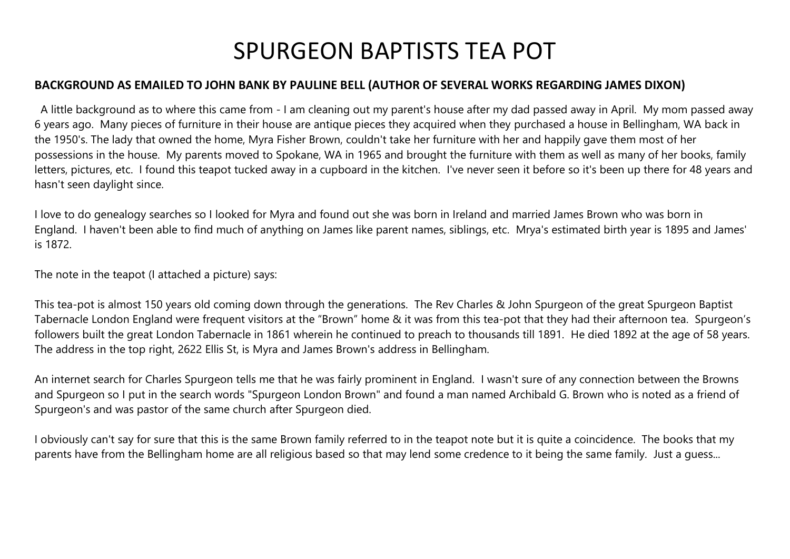## SPURGEON BAPTISTS TEA POT

## **BACKGROUND AS EMAILED TO JOHN BANK BY PAULINE BELL (AUTHOR OF SEVERAL WORKS REGARDING JAMES DIXON)**

A little background as to where this came from - I am cleaning out my parent's house after my dad passed away in April. My mom passed away 6 years ago. Many pieces of furniture in their house are antique pieces they acquired when they purchased a house in Bellingham, WA back in the 1950's. The lady that owned the home, Myra Fisher Brown, couldn't take her furniture with her and happily gave them most of her possessions in the house. My parents moved to Spokane, WA in 1965 and brought the furniture with them as well as many of her books, family letters, pictures, etc. I found this teapot tucked away in a cupboard in the kitchen. I've never seen it before so it's been up there for 48 years and hasn't seen daylight since.

I love to do genealogy searches so I looked for Myra and found out she was born in Ireland and married James Brown who was born in England. I haven't been able to find much of anything on James like parent names, siblings, etc. Mrya's estimated birth year is 1895 and James' is 1872.

The note in the teapot (I attached a picture) says:

This tea-pot is almost 150 years old coming down through the generations. The Rev Charles & John Spurgeon of the great Spurgeon Baptist Tabernacle London England were frequent visitors at the "Brown" home & it was from this tea-pot that they had their afternoon tea. Spurgeon's followers built the great London Tabernacle in 1861 wherein he continued to preach to thousands till 1891. He died 1892 at the age of 58 years. The address in the top right, 2622 Ellis St, is Myra and James Brown's address in Bellingham.

An internet search for Charles Spurgeon tells me that he was fairly prominent in England. I wasn't sure of any connection between the Browns and Spurgeon so I put in the search words "Spurgeon London Brown" and found a man named Archibald G. Brown who is noted as a friend of Spurgeon's and was pastor of the same church after Spurgeon died.

I obviously can't say for sure that this is the same Brown family referred to in the teapot note but it is quite a coincidence. The books that my parents have from the Bellingham home are all religious based so that may lend some credence to it being the same family. Just a guess...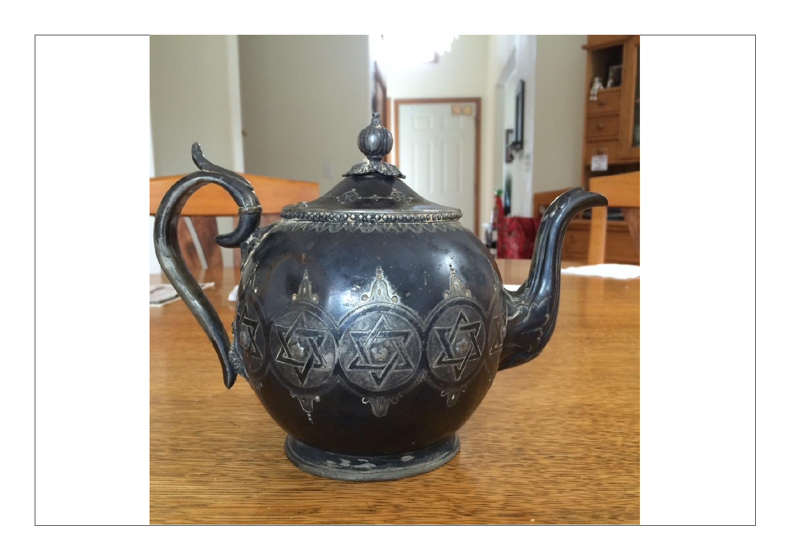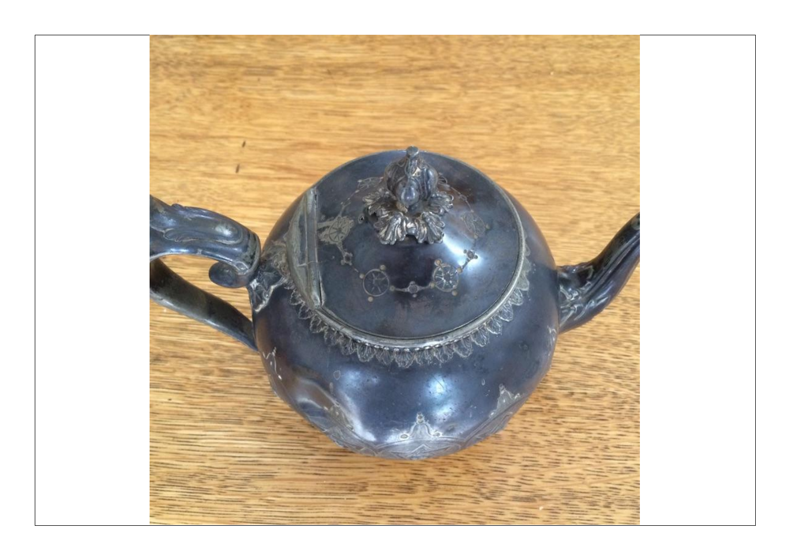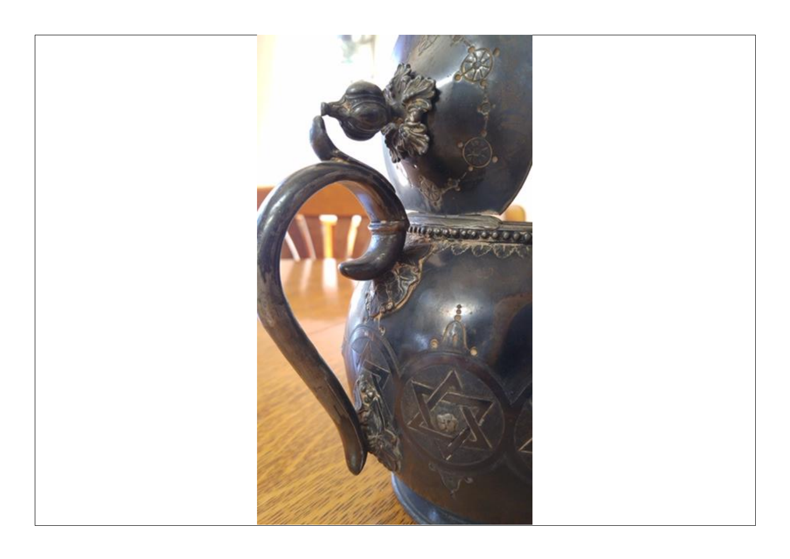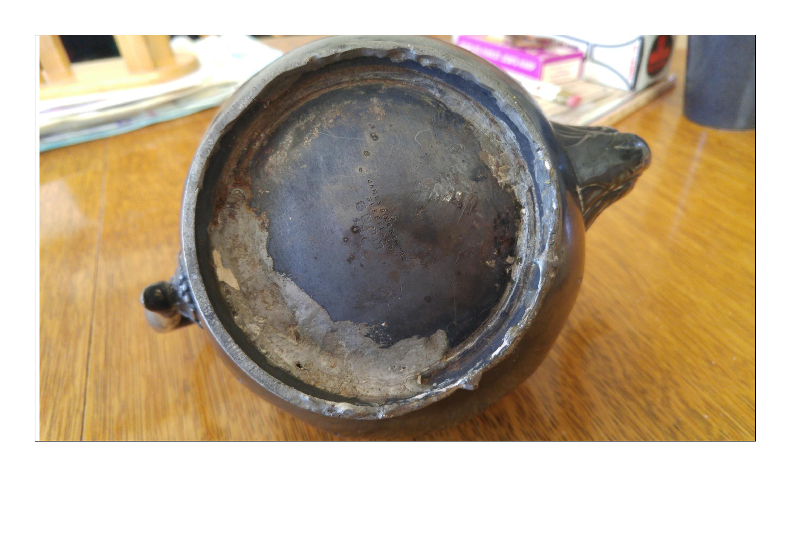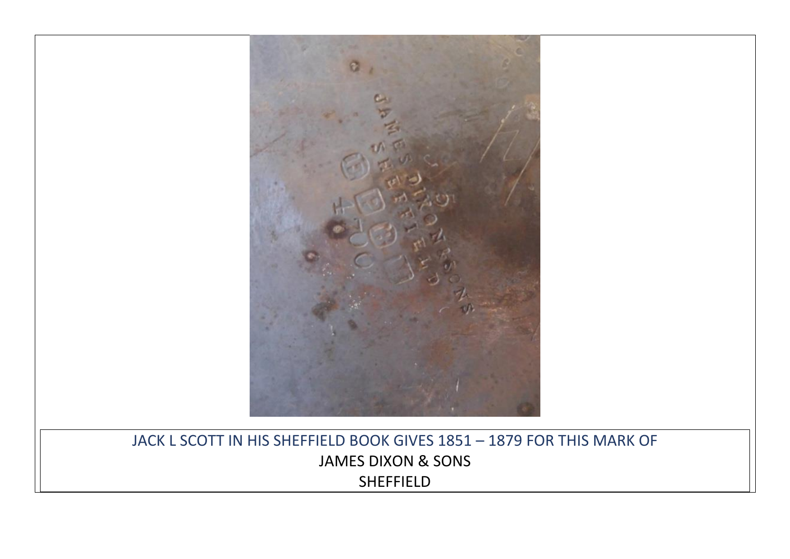